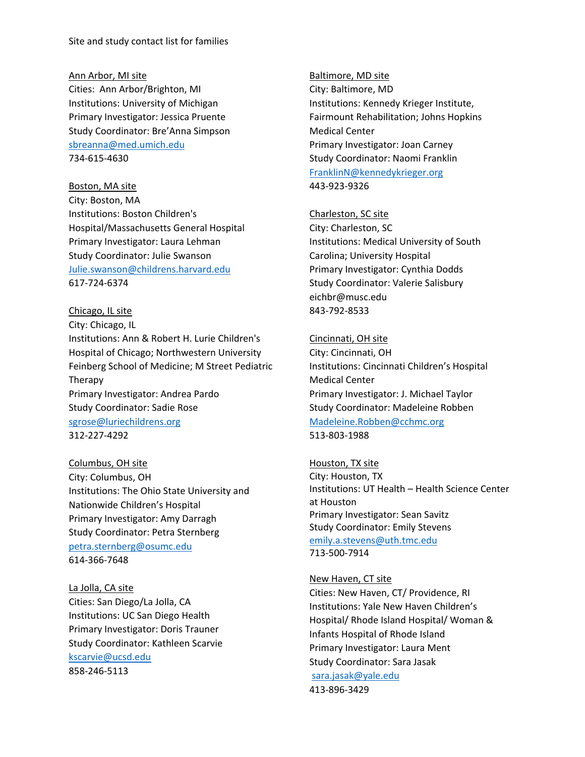Site and study contact list for families

## Ann Arbor, MI site

Cities: Ann Arbor/Brighton, MI Institutions: University of Michigan Primary Investigator: Jessica Pruente Study Coordinator: Bre'Anna Simpson sbreanna@med.umich.edu 734‐615‐4630

Boston, MA site City: Boston, MA Institutions: Boston Children's Hospital/Massachusetts General Hospital Primary Investigator: Laura Lehman Study Coordinator: Julie Swanson Julie.swanson@childrens.harvard.edu 617‐724‐6374

Chicago, IL site City: Chicago, IL Institutions: Ann & Robert H. Lurie Children's Hospital of Chicago; Northwestern University Feinberg School of Medicine; M Street Pediatric Therapy Primary Investigator: Andrea Pardo Study Coordinator: Sadie Rose sgrose@luriechildrens.org 312‐227‐4292

Columbus, OH site City: Columbus, OH Institutions: The Ohio State University and Nationwide Children's Hospital Primary Investigator: Amy Darragh Study Coordinator: Petra Sternberg petra.sternberg@osumc.edu 614‐366‐7648

La Jolla, CA site Cities: San Diego/La Jolla, CA Institutions: UC San Diego Health Primary Investigator: Doris Trauner Study Coordinator: Kathleen Scarvie kscarvie@ucsd.edu 858‐246‐5113

Baltimore, MD site City: Baltimore, MD Institutions: Kennedy Krieger Institute, Fairmount Rehabilitation; Johns Hopkins Medical Center Primary Investigator: Joan Carney Study Coordinator: Naomi Franklin FranklinN@kennedykrieger.org 443‐923‐9326

Charleston, SC site

City: Charleston, SC Institutions: Medical University of South Carolina; University Hospital Primary Investigator: Cynthia Dodds Study Coordinator: Valerie Salisbury eichbr@musc.edu 843‐792‐8533

Cincinnati, OH site City: Cincinnati, OH Institutions: Cincinnati Children's Hospital Medical Center Primary Investigator: J. Michael Taylor Study Coordinator: Madeleine Robben Madeleine.Robben@cchmc.org 513‐803‐1988

Houston, TX site City: Houston, TX Institutions: UT Health – Health Science Center at Houston Primary Investigator: Sean Savitz Study Coordinator: Emily Stevens emily.a.stevens@uth.tmc.edu 713‐500‐7914

New Haven, CT site

Cities: New Haven, CT/ Providence, RI Institutions: Yale New Haven Children's Hospital/ Rhode Island Hospital/ Woman & Infants Hospital of Rhode Island Primary Investigator: Laura Ment Study Coordinator: Sara Jasak sara.jasak@yale.edu 413‐896‐3429